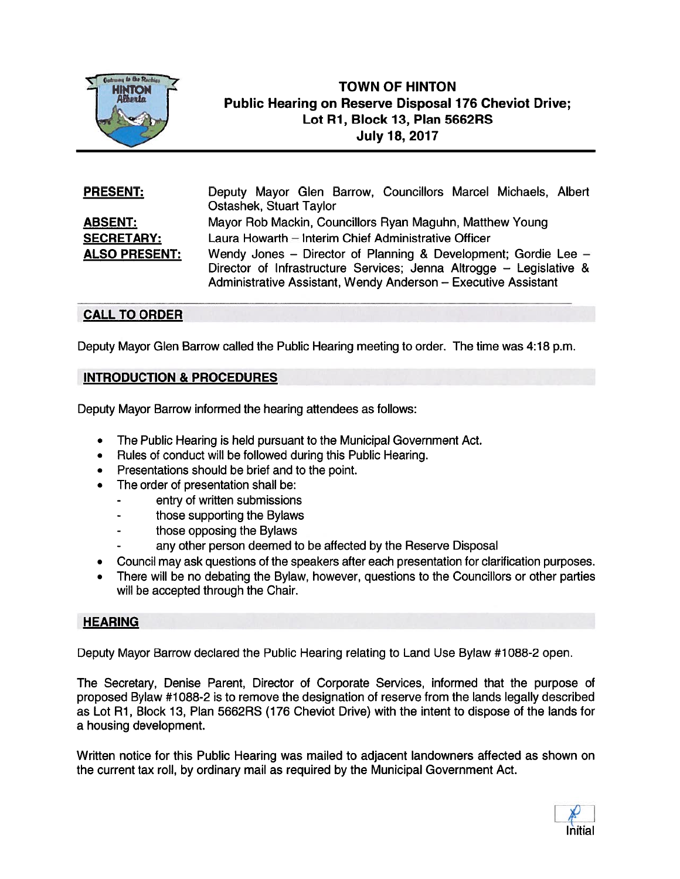

# **TOWN OF HINTON** Public Hearing on Reserve Disposal 176 Cheviot Drive; Lot Ri, Block 13, Plan 5662RS July 18, 2017

| <b>PRESENT:</b>      | Deputy Mayor Glen Barrow, Councillors Marcel Michaels, Albert       |
|----------------------|---------------------------------------------------------------------|
|                      | <b>Ostashek, Stuart Taylor</b>                                      |
| <b>ABSENT:</b>       | Mayor Rob Mackin, Councillors Ryan Maguhn, Matthew Young            |
| <b>SECRETARY:</b>    | Laura Howarth - Interim Chief Administrative Officer                |
| <b>ALSO PRESENT:</b> | Wendy Jones – Director of Planning & Development; Gordie Lee –      |
|                      | Director of Infrastructure Services; Jenna Altrogge – Legislative & |
|                      | Administrative Assistant, Wendy Anderson - Executive Assistant      |

## CALL TO ORDER

Deputy Mayor Glen Barrow called the Public Hearing meeting to order. The time was 4:18 p.m.

### INTRODUCTION & PROCEDURES

Deputy Mayor Barrow informed the hearing attendees as follows:

- The Public Hearing is held pursuan<sup>t</sup> to the Municipal Government Act.
- Rules of conduct will be followed during this Public Hearing.
- •Presentations should be brief and to the point.
- • The order of presentation shall be:
	- entry of written submissions
	- those supporting the Bylaws
	- those opposing the Bylaws
	- any other person deemed to be affected by the Reserve Disposal
- •Council may ask questions of the speakers after each presentation for clarification purposes.
- • There will be no debating the Bylaw, however, questions to the Councillors or other parties will be accepted through the Chair.

### **HEARING**

Deputy Mayor Barrow declared the Public Hearing relating to Land Use Bylaw #1088-2 open.

The Secretary, Denise Parent, Director of Corporate Services, informed that the purpose of proposed Bylaw #1088-2 is to remove the designation of reserve from the lands legally described as Lot Ri, Block 13, Plan 5662RS (176 Cheviot Drive) with the intent to dispose of the lands for <sup>a</sup> housing development.

Written notice for this Public Hearing was mailed to adjacent landowners affected as shown on the current tax roll, by ordinary mail as required by the Municipal Government Act.

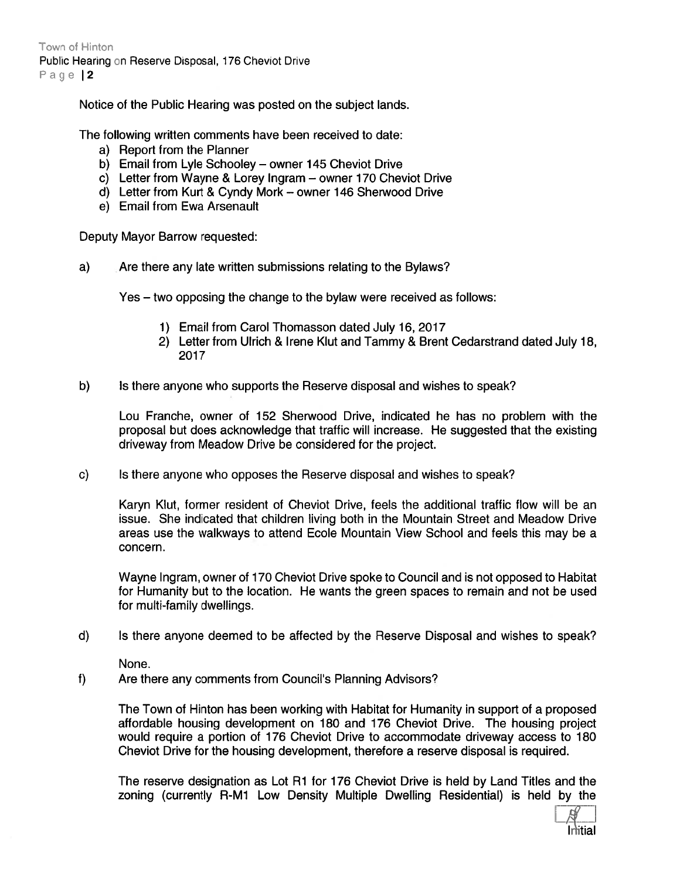Town of Hinton Public Hearing on Reserve Disposal, 176 Cheviot Drive Page 12

Notice of the Public Hearing was posted on the subject lands.

The following written comments have been received to date:

- a) Report from the Planner
- b) Email from Lyle Schooley owner 145 Cheviot Drive
- c) Letter from Wayne & Lorey Ingram owner 170 Cheviot Drive
- d) Letter from Kurt & Cyndy Mark owner 146 Sherwood Drive
- e) Email from Ewa Arsenault

Deputy Mayor Barrow requested:

a) Are there any late written submissions relating to the Bylaws?

Yes — two opposing the change to the bylaw were received as follows:

- 1) Email from Carol Thomasson dated July 16, 2017
- 2) Letter from Ulrich & Irene KIut and Tammy & Brent Cedarstrand dated July 18, 2017
- b) Is there anyone who supports the Reserve disposal and wishes to speak?

Lou Franche, owner of 152 Sherwood Drive, indicated he has no problem with the proposal but does acknowledge that traffic will increase. He suggested that the existing driveway from Meadow Drive be considered for the project.

c) Is there anyone who opposes the Reserve disposal and wishes to speak?

Karyn KIut, former resident of Cheviot Drive, feels the additional traffic flow will be an issue. She indicated that children living both in the Mountain Street and Meadow Drive areas use the walkways to attend Ecole Mountain View School and feels this may be <sup>a</sup> concern.

Wayne Ingram, owner of 170 Cheviot Drive spoke to Council and is not opposed to Habitat for Humanity but to the location. He wants the green spaces to remain and not be used for multi-family dwellings.

d) Is there anyone deemed to be affected by the Reserve Disposal and wishes to speak?

None.

f) Are there any comments from Council's Planning Advisors?

The Town of Hinton has been working with Habitat for Humanity in suppor<sup>t</sup> of <sup>a</sup> proposed affordable housing development on 180 and 176 Cheviot Drive. The housing project would require <sup>a</sup> portion of 176 Cheviot Drive to accommodate driveway access to 180 Cheviot Drive for the housing development, therefore <sup>a</sup> reserve disposal is required.

The reserve designation as Lot Al for 176 Cheviot Drive is held by Land Titles and the zoning (currently A-Mi Low Density Multiple Dwelling Residential) is held by the

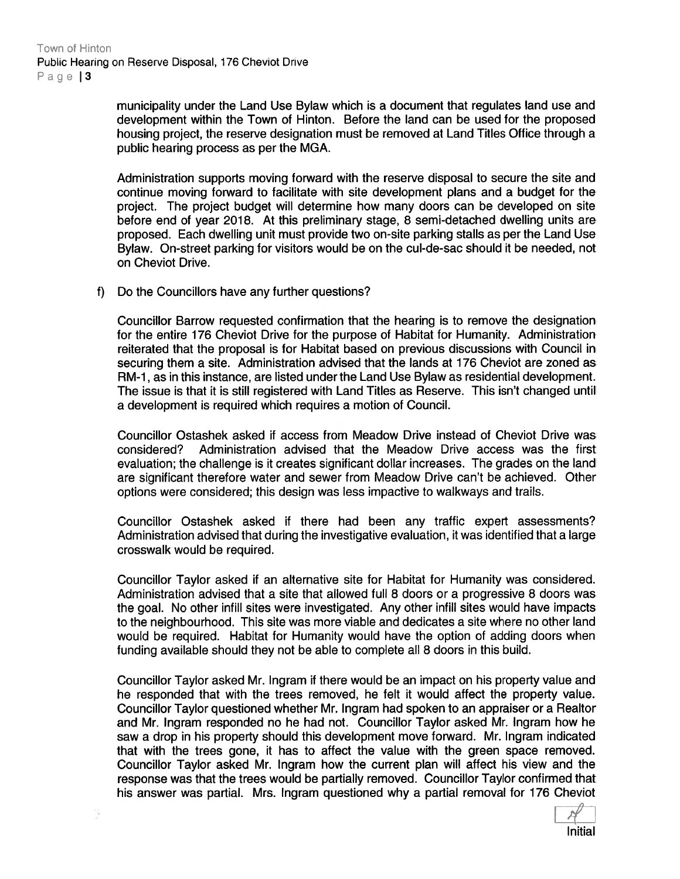municipality under the Land Use Bylaw which is <sup>a</sup> document that regulates land use and development within the Town of Hinton. Before the land can be used for the proposed housing project, the reserve designation must be removed at Land Titles Office through <sup>a</sup> public hearing process as per the MGA.

Administration supports moving forward with the reserve disposal to secure the site and continue moving forward to facilitate with site development plans and <sup>a</sup> budget for the project. The project budget will determine how many doors can be developed on site before end of year 2018. At this preliminary stage, 8 semi-detached dwelling units are proposed. Each dwelling unit must provide two on-site parking stalls as per the Land Use Bylaw. On-street parking for visitors would be on the cul-de-sac should it be needed, not on Cheviot Drive.

t) Do the Councillors have any further questions?

Councillor Barrow requested confirmation that the hearing is to remove the designation for the entire 176 Cheviot Drive for the purpose of Habitat for Humanity. Administration reiterated that the proposal is for Habitat based on previous discussions with Council in securing them <sup>a</sup> site. Administration advised that the lands at 176 Cheviot are zoned as AM-i, as in this instance, are listed under the Land Use Bylaw as residential development. The issue is that it is still registered with Land Titles as Reserve. This isn't changed until <sup>a</sup> development is required which requires <sup>a</sup> motion of Council.

Councjllor Ostashek asked if access from Meadow Drive instead of Cheviot Drive was considered? Administration advised that the Meadow Drive access was the first evaluation; the challenge is it creates significant dollar increases. The grades on the land are significant therefore water and sewer from Meadow Drive can't be achieved. Other options were considered; this design was less impactive to walkways and trails.

Councillor Ostashek asked it there had been any traffic exper<sup>t</sup> assessments? Administration advised that during the investigative evaluation, it was identified that <sup>a</sup> large crosswalk would be required.

Councillor Taylor asked if an alternative site for Habitat for Humanity was considered. Administration advised that <sup>a</sup> site that allowed full 8 doors or <sup>a</sup> progressive 8 doors was the goal. No other infill sites were investigated. Any other infill sites would have impacts to the neighbourhood. This site was more viable and dedicates <sup>a</sup> site where no other land would be required. Habitat for Humanity would have the option of adding doors when funding available should they not be able to complete all 8 doors in this build.

Councillor Taylor asked Mr. Ingram it there would be an impact on his property value and he responded that with the trees removed, he felt it would affect the property value. Councillor Taylor questioned whether Mr. Ingram had spoken to an appraiser or <sup>a</sup> Realtor and Mr. Ingram responded no he had not. Councillor Taylor asked Mr. Ingram how he saw <sup>a</sup> drop in his property should this development move forward. Mr. Ingram indicated that with the trees gone, it has to affect the value with the green space removed. Councillor Taylor asked Mr. Ingram how the current plan will affect his view and the response was that the trees would be partially removed. Councillor Taylor confirmed that his answer was partial. Mrs. Ingram questioned why <sup>a</sup> partial removal for 176 Cheviot

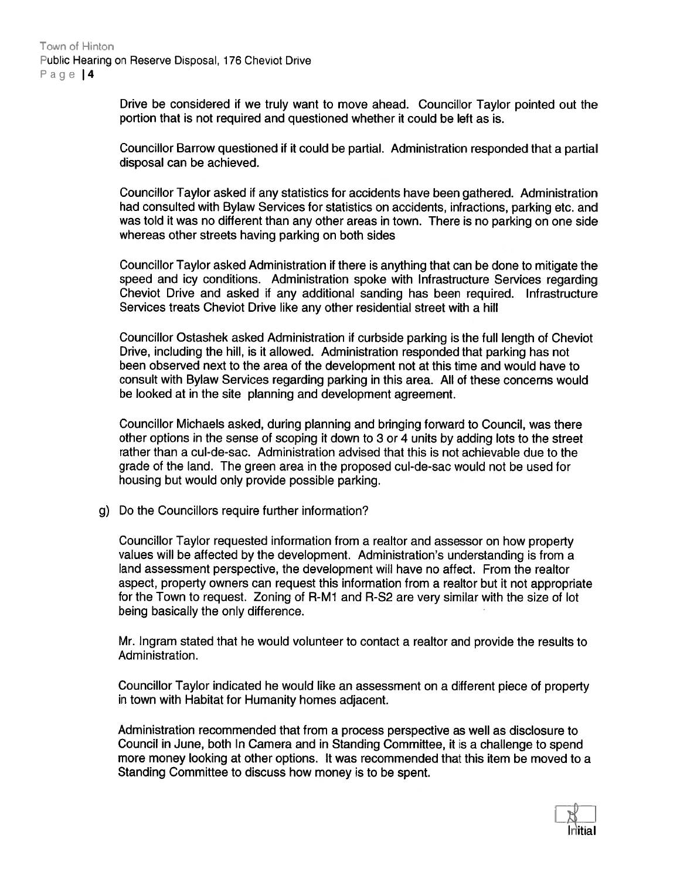Drive be considered if we truly want to move ahead. Councillor Taylor pointed out the portion that is not required and questioned whether it could be left as is.

Councillor Barrow questioned if it could be partial. Administration responded that <sup>a</sup> partial disposal can be achieved.

Councillor Taylor asked if any statistics for accidents have been gathered. Administration had consulted with Bylaw Services for statistics on accidents, infractions, parking etc. and was told it was no different than any other areas in town. There is no parking on one side whereas other streets having parking on both sides

Councillor Taylor asked Administration if there is anything that can be done to mitigate the speed and icy conditions. Administration spoke with Infrastructure Services regarding Cheviot Drive and asked if any additional sanding has been required. Infrastructure Services treats Cheviot Drive like any other residential street with <sup>a</sup> hill

Councillor Ostashek asked Administration if curbside parking is the full length of Cheviot Drive, including the hill, is it allowed. Administration responded that parking has not been observed next to the area of the development not at this time and would have to consult with Bylaw Services regarding parking in this area. All of these concerns would be looked at in the site planning and development agreement.

Councillor Michaels asked, during planning and bringing forward to Council, was there other options in the sense of scoping it down to 3 or 4 units by adding lots to the street rather than <sup>a</sup> cul-de-sac. Administration advised that this is not achievable due to the grade of the land. The green area in the proposed cul-de-sac would not be used for housing but would only provide possible parking.

g) Do the Councillors require further information?

Councillor Taylor requested information from <sup>a</sup> realtor and assessor on how property values will be affected by the development. Administration's understanding is from <sup>a</sup> land assessment perspective, the development will have no affect. From the realtor aspect, property owners can reques<sup>t</sup> this information from <sup>a</sup> realtor but it not appropriate for the Town to request. Zoning of R-M1 and R-S2 are very similar with the size of lot being basically the only difference.

Mr. Ingram stated that he would volunteer to contact <sup>a</sup> realtor and provide the results to Administration.

Councillor Taylor indicated he would like an assessment on <sup>a</sup> different <sup>p</sup>iece of property in town with Habitat for Humanity homes adjacent.

Administration recommended that from <sup>a</sup> process perspective as well as disclosure to Council in June, both In Camera and in Standing Committee, it is <sup>a</sup> challenge to spend more money looking at other options. It was recommended that this item be moved to <sup>a</sup> Standing Committee to discuss how money is to be spent.

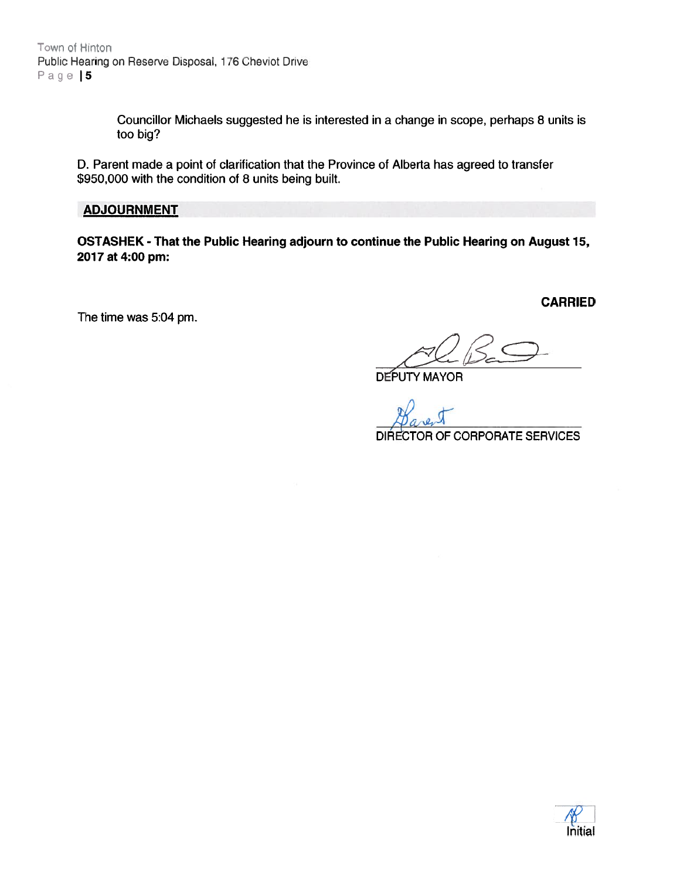Town of Hinton Public Hearing on Reserve Disposal, 176 Cheviot Drive Page | 5

> Councillor Michaels suggested he is interested in <sup>a</sup> change in scope, perhaps 8 units is too big?

D. Parent made <sup>a</sup> point of clarification that the Province of Alberta has agreed to transfer \$950,000 with the condition of 8 units being built.

#### ADJOURNMENT

OSTASHEK - That the Public Hearing adjourn to continue the Public Hearing on August 15, 2017 at 4:00 pm:

The time was 5:04 pm.

CARRIED

DEPUTY MAYOR

DIRECTOR OF CORPORATE SERVICES

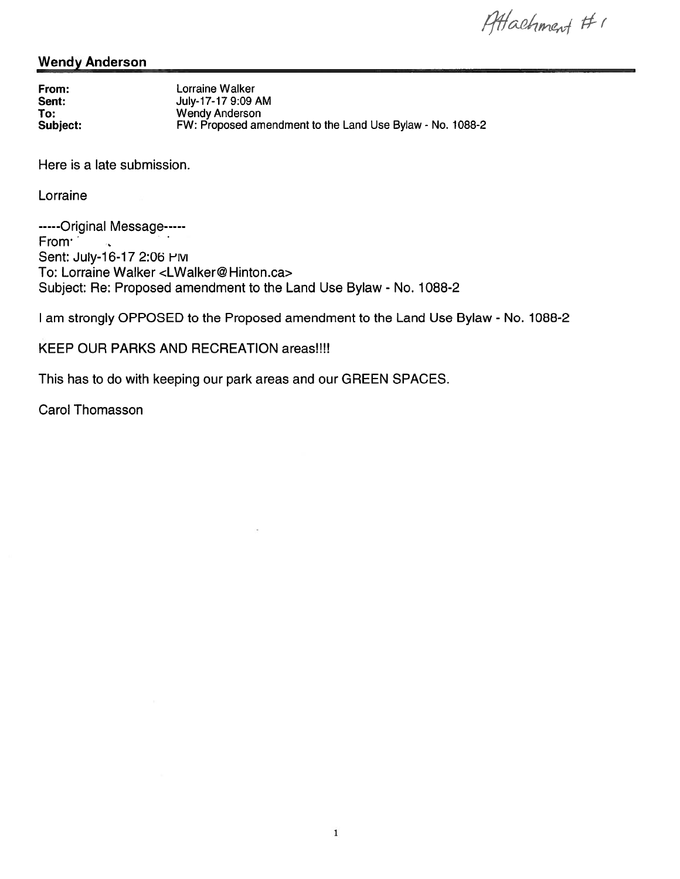Attachment #1

### Wendy Anderson

From: Lorraine Walker Sent: **July-17-17 9:09 AM** To: Wendy Anderson Subject: EW: Proposed amendment to the Land Use Bylaw - No. 1088-2

Here is <sup>a</sup> late submission.

Lorraine

-----Original Message-----From Sent: July-16-17 2:06 HM To: Lorraine Walker <LWalker@ Hinton.ca> Subject: Re: Proposed amendment to the Land Use Bylaw - No. 1088-2

I am strongly OPPOSED to the Proposed amendment to the Land Use Bylaw - No. 1088-2

### KEEP OUR PARKS AND RECREATION areas!!!!

This has to do with keeping our park areas and our GREEN SPACES.

Carol Thomasson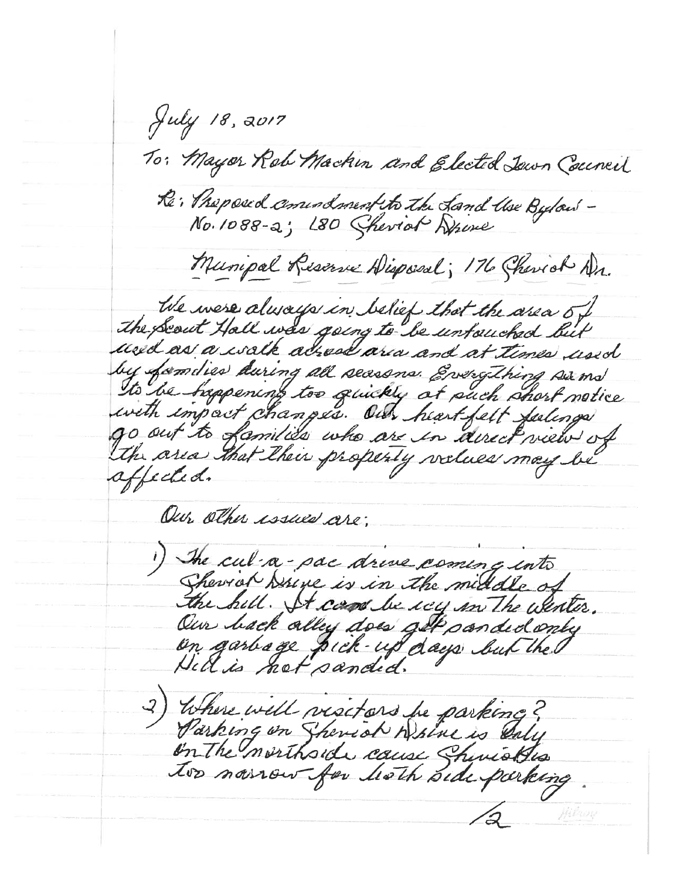July 18, 2017 To: Mayor Rob Machin and Elected Jawn Council Re: Preposed consumption the Land Use Bydaw -<br>No. 1088-2; L80 Sheviot Drive Munipal Reserve Disposal; 176 Chevich Ar. We were always in belief that the area of The Scout Hall was going to be untouched but used as a walk adread area and at times used by families during all seasons. Everything surms to be happening too quickly at such short notice with impact changes. Our heart felt feelings go out to families who are in acceptued of the area that their property vilues may be affected. Our other issues are; 1) The cul-a-pac drive coming into Sherror Druge is in the middle of the hill. It can be sey in The wenter. Our hack alley does get panded only on garboge pick-up days but the 2) Where will visitars be parking?<br>Parking on Sheviol Where is saly on the morthside cause ShirioBis too noirow for hoth side parking MERWIN